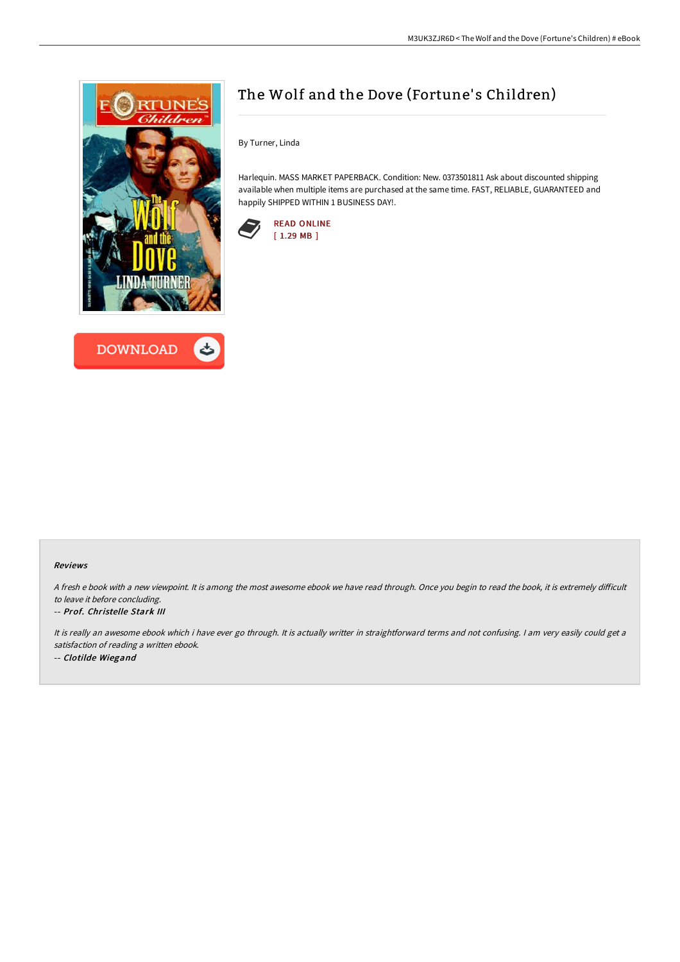



# The Wolf and the Dove (Fortune's Children)

By Turner, Linda

Harlequin. MASS MARKET PAPERBACK. Condition: New. 0373501811 Ask about discounted shipping available when multiple items are purchased at the same time. FAST, RELIABLE, GUARANTEED and happily SHIPPED WITHIN 1 BUSINESS DAY!.



### Reviews

A fresh e book with a new viewpoint. It is among the most awesome ebook we have read through. Once you begin to read the book, it is extremely difficult to leave it before concluding.

#### -- Prof. Christelle Stark III

It is really an awesome ebook which i have ever go through. It is actually writter in straightforward terms and not confusing. <sup>I</sup> am very easily could get <sup>a</sup> satisfaction of reading <sup>a</sup> written ebook. -- Clotilde Wiegand